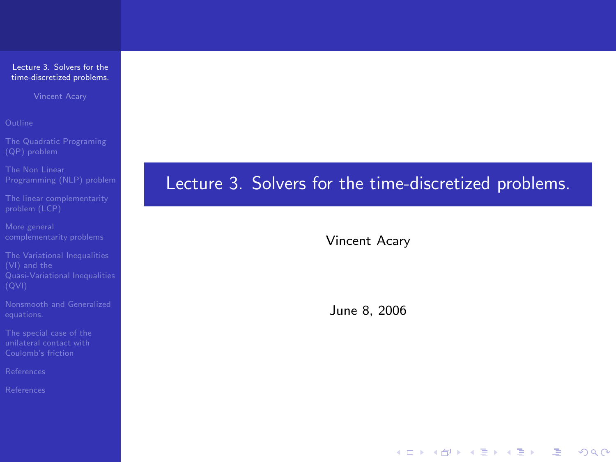Vincent Acary

[The linear complementarity](#page-10-0)

<span id="page-0-0"></span>

# Lecture 3. Solvers for the time-discretized problems.

Vincent Acary

June 8, 2006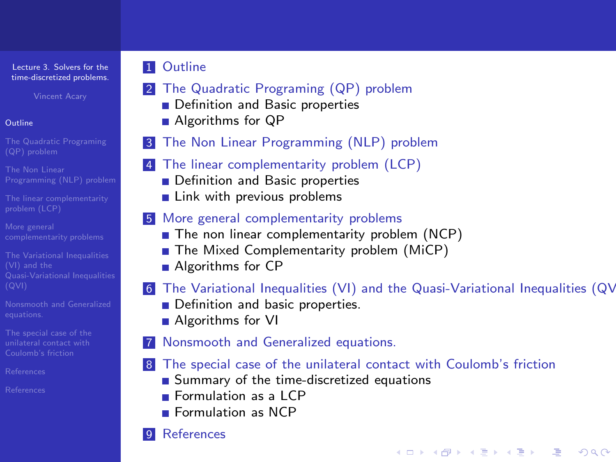Vincent Acary

### [Outline](#page-1-0)

- 
- 
- [The linear complementarity](#page-10-0)
- 
- The Variational Inequalities
- 
- 
- [References](#page-39-0)
- <span id="page-1-0"></span>

## **11** [Outline](#page-1-0)

- 2 [The Quadratic Programing \(QP\) problem](#page-2-0)
	- [Definition and Basic properties](#page-2-0)
	- [Algorithms for QP](#page-7-0)
- **3** [The Non Linear Programming \(NLP\) problem](#page-8-0)
- 4 [The linear complementarity problem \(LCP\)](#page-10-0)
	- **[Definition and Basic properties](#page-10-0)**
	- $\blacksquare$  [Link with previous problems](#page-13-0)

### 5 [More general complementarity problems](#page-15-0)

- [The non linear complementarity problem \(NCP\)](#page-16-0)
- [The Mixed Complementarity problem \(MiCP\)](#page-17-0)
- **[Algorithms for CP](#page-18-0)**

## 6 The Variational Inequalities  $(VI)$  and the Quasi-Variational Inequalities  $(QV)$

**YO A REAGE YOU ARE YOUR** 

- [Definition and basic properties.](#page-19-0)
- **[Algorithms for VI](#page-22-0)**

## 7 [Nonsmooth and Generalized equations.](#page-23-0)

## 8 [The special case of the unilateral contact with Coulomb's friction](#page-28-0)

- [Summary of the time-discretized equations](#page-28-0)
- **[Formulation as a LCP](#page-31-0)**
- **[Formulation as NCP](#page-37-0)**

## **[References](#page-39-0)**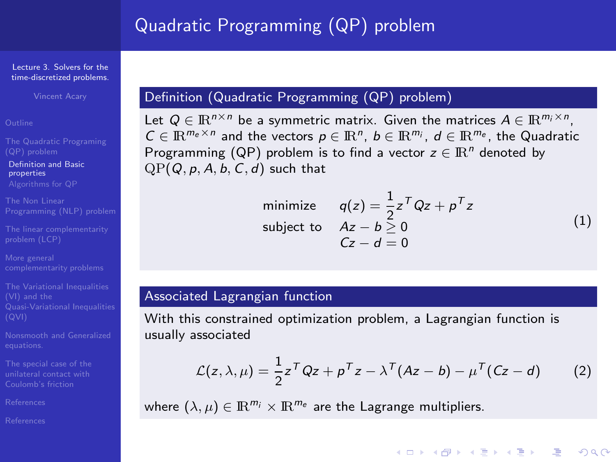#### Lecture 3. Solvers for the [time-discretized problems.](#page-0-0)

Vincent Acary

[Definition and Basic](#page-2-0) properties

[The linear complementarity](#page-10-0)

The Variational Inequalities [Quasi-Variational Inequalities](#page-19-0)

[References](#page-39-0)

<span id="page-2-0"></span>

## Definition (Quadratic Programming (QP) problem)

Let  $Q \in \mathbb{R}^{n \times n}$  be a symmetric matrix. Given the matrices  $A \in \mathbb{R}^{m_i \times n}$ ,  $C \in \mathbb{R}^{m_e \times n}$  and the vectors  $p \in \mathbb{R}^n$ ,  $b \in \mathbb{R}^{m_i}$ ,  $d \in \mathbb{R}^{m_e}$ , the Quadratic Programming (QP) problem is to find a vector  $z \in \mathbb{R}^n$  denoted by  $QP(Q, p, A, b, C, d)$  such that

> minimize  $q(z) = \frac{1}{2}z^T Qz + p^T z$ subject to  $Az - b > 0$  $C_z = d - 0$ (1)

> > **YO A REAGE YOU ARE YOUR**

### <span id="page-2-1"></span>Associated Lagrangian function

With this constrained optimization problem, a Lagrangian function is usually associated

$$
\mathcal{L}(z,\lambda,\mu) = \frac{1}{2}z^T Q z + \rho^T z - \lambda^T (Az - b) - \mu^T (Cz - d)
$$
 (2)

where  $(\lambda, \mu) \in \mathbb{R}^{m_i} \times \mathbb{R}^{m_e}$  are the Lagrange multipliers.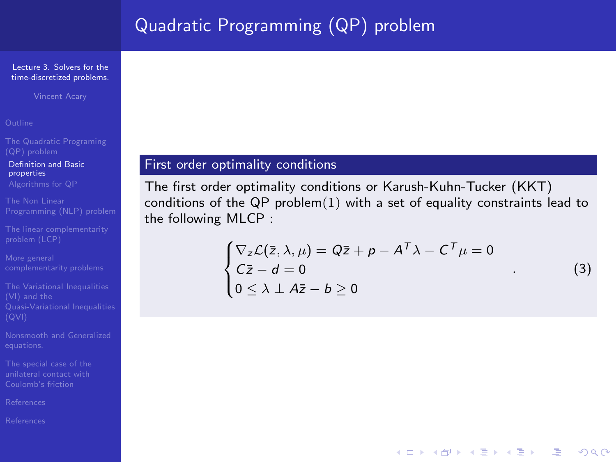#### Lecture 3. Solvers for the [time-discretized problems.](#page-0-0)

Vincent Acary

[Definition and Basic](#page-2-0) properties

[The linear complementarity](#page-10-0)

The Variational Inequalities

[References](#page-39-0)

### First order optimality conditions

The first order optimality conditions or Karush-Kuhn-Tucker (KKT) conditions of the QP problem $(1)$  with a set of equality constraints lead to the following MLCP :

$$
\begin{cases} \nabla_z \mathcal{L}(\bar{z}, \lambda, \mu) = Q\bar{z} + p - A^T \lambda - C^T \mu = 0 \\ C\bar{z} - d = 0 \\ 0 \le \lambda \perp A\bar{z} - b \ge 0 \end{cases}
$$
 (3)

**ADD 4 REPAIR AND A COA**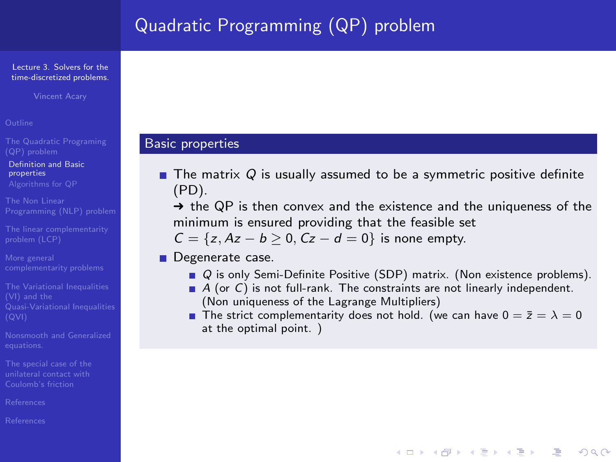#### Lecture 3. Solvers for the [time-discretized problems.](#page-0-0)

Vincent Acary

[Definition and Basic](#page-2-0) properties

[The linear complementarity](#page-10-0)

The Variational Inequalities

[References](#page-39-0)

### Basic properties

 $\blacksquare$  The matrix Q is usually assumed to be a symmetric positive definite (PD).

 $\rightarrow$  the QP is then convex and the existence and the uniqueness of the minimum is ensured providing that the feasible set

 $C = \{z, Az - b \ge 0, Cz - d = 0\}$  is none empty.

**Degenerate case.** 

- Q is only Semi-Definite Positive (SDP) matrix. (Non existence problems).
- $\blacksquare$  A (or C) is not full-rank. The constraints are not linearly independent. (Non uniqueness of the Lagrange Multipliers)
- The strict complementarity does not hold. (we can have  $0 = \bar{z} = \lambda = 0$ at the optimal point. )

**YO A REAGE YOU ARE YOUR**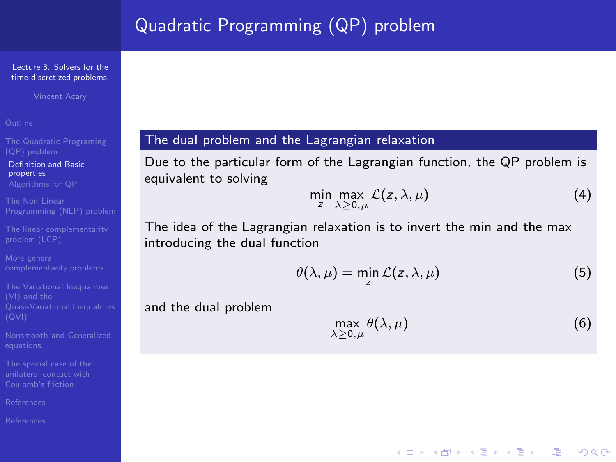Vincent Acary

[Definition and Basic](#page-2-0) properties

[The linear complementarity](#page-10-0)

The Variational Inequalities

[References](#page-39-0)

### The dual problem and the Lagrangian relaxation

Due to the particular form of the Lagrangian function, the QP problem is equivalent to solving

$$
\min_{z} \max_{\lambda \geq 0,\mu} \mathcal{L}(z,\lambda,\mu) \tag{4}
$$

The idea of the Lagrangian relaxation is to invert the min and the max introducing the dual function

$$
\theta(\lambda,\mu) = \min_{z} \mathcal{L}(z,\lambda,\mu) \tag{5}
$$

and the dual problem

$$
\max_{\lambda \ge 0,\mu} \theta(\lambda,\mu) \tag{6}
$$

**YO A REAGE YOU ARE YOUR**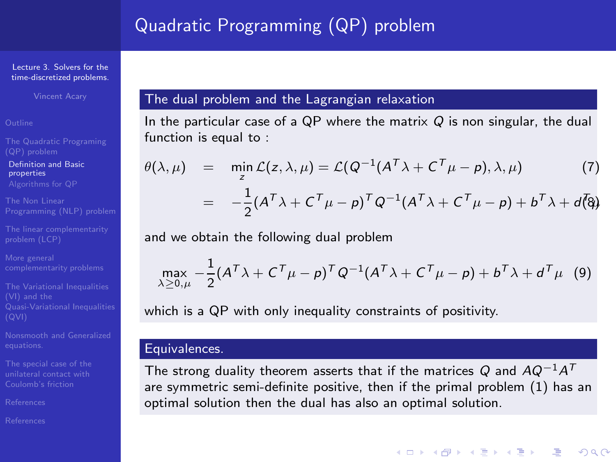#### Lecture 3. Solvers for the [time-discretized problems.](#page-0-0)

Vincent Acary

[Definition and Basic](#page-2-0) properties

[The linear complementarity](#page-10-0)

The Variational Inequalities

[References](#page-39-0)

[References](#page-39-0)

### The dual problem and the Lagrangian relaxation

In the particular case of a QP where the matrix  $Q$  is non singular, the dual function is equal to :

$$
\theta(\lambda,\mu) = \min_{z} \mathcal{L}(z,\lambda,\mu) = \mathcal{L}(Q^{-1}(A^T\lambda + C^T\mu - \rho),\lambda,\mu) \tag{7}
$$

$$
= -\frac{1}{2}(A^T\lambda + C^T\mu - \rho)^TQ^{-1}(A^T\lambda + C^T\mu - \rho) + b^T\lambda + d\bar{Q}
$$

and we obtain the following dual problem

$$
\max_{\lambda \geq 0,\mu} -\frac{1}{2} (A^T \lambda + C^T \mu - \rho)^T Q^{-1} (A^T \lambda + C^T \mu - \rho) + b^T \lambda + d^T \mu \quad (9)
$$

which is a QP with only inequality constraints of positivity.

### Equivalences.

The strong duality theorem asserts that if the matrices  $Q$  and  $A Q^{-1} A^\mathcal{T}$ are symmetric semi-definite positive, then if the primal problem [\(1\)](#page-2-1) has an optimal solution then the dual has also an optimal solution.

**ADD 4 REPAIR AND A COA**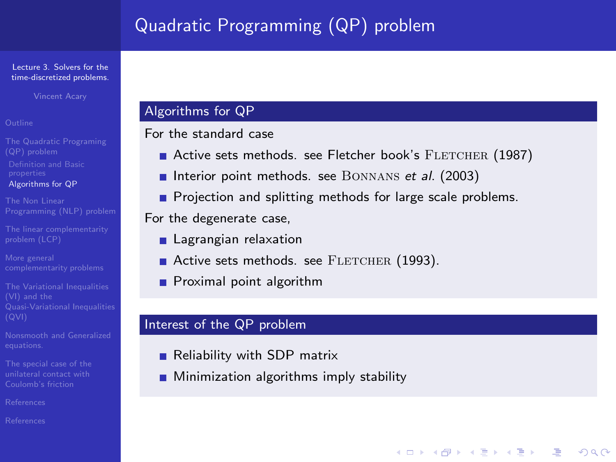#### Lecture 3. Solvers for the [time-discretized problems.](#page-0-0)

Vincent Acary

- [Algorithms for QP](#page-7-0)
- 
- [The linear complementarity](#page-10-0)
- 
- The Variational Inequalities
- 
- 
- [References](#page-39-0)
- <span id="page-7-0"></span>

### Algorithms for QP

### For the standard case

Active sets methods. see Fletcher book's FLETCHER (1987)

**YO A REAGE YOU ARE YOUR** 

- Interior point methods. see BONNANS et al. (2003)
- **Projection and splitting methods for large scale problems.**

For the degenerate case,

- **Lagrangian relaxation**
- Active sets methods. see FLETCHER (1993).
- **Proximal point algorithm**

### Interest of the QP problem

- Reliability with SDP matrix
- **Minimization algorithms imply stability**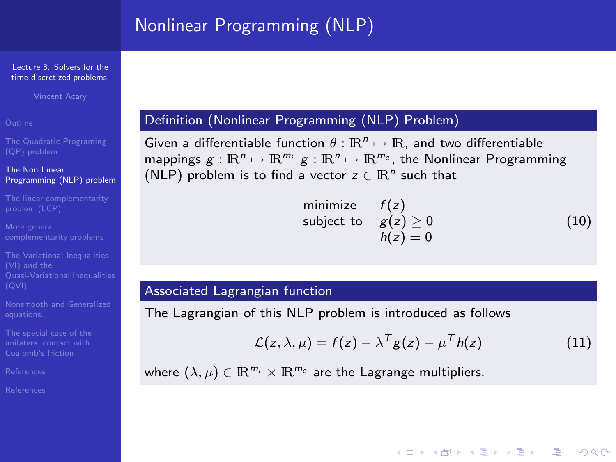Vincent Acary

### The Non Linear [Programming \(NLP\) problem](#page-8-0)

[The linear complementarity](#page-10-0)

The Variational Inequalities

[References](#page-39-0)

<span id="page-8-0"></span>[References](#page-39-0)

### Definition (Nonlinear Programming (NLP) Problem)

Given a differentiable function  $\theta : \mathbb{R}^n \mapsto \mathbb{R}$ , and two differentiable mappings  $g: \mathbb{R}^n \mapsto \mathbb{R}^{m_i}$   $g: \mathbb{R}^n \mapsto \mathbb{R}^{m_e}$ , the Nonlinear Programming (NLP) problem is to find a vector  $z \in \mathbb{R}^n$  such that

$$
\begin{array}{ll}\n\text{minimize} & f(z) \\
\text{subject to} & g(z) \ge 0 \\
& h(z) = 0\n\end{array} \tag{10}
$$

### Associated Lagrangian function

The Lagrangian of this NLP problem is introduced as follows

$$
\mathcal{L}(z,\lambda,\mu) = f(z) - \lambda^T g(z) - \mu^T h(z)
$$
 (11)

**YO A REAGE YOU ARE YOUR** 

where  $(\lambda, \mu) \in \mathbb{R}^{m_i} \times \mathbb{R}^{m_e}$  are the Lagrange multipliers.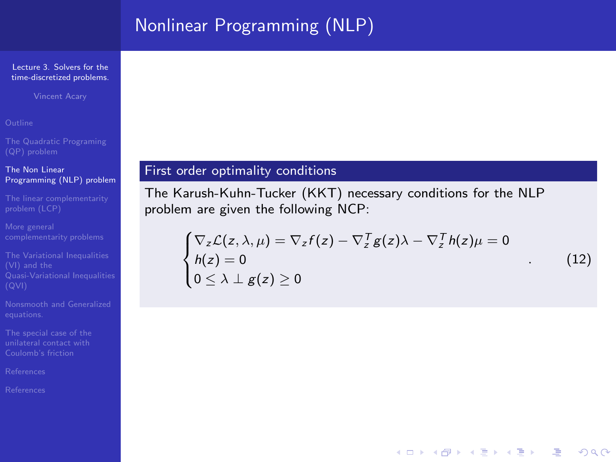# Nonlinear Programming (NLP)

#### Lecture 3. Solvers for the [time-discretized problems.](#page-0-0)

Vincent Acary

### The Non Linear [Programming \(NLP\) problem](#page-8-0)

[The linear complementarity](#page-10-0)

<span id="page-9-0"></span>

### First order optimality conditions

The Karush-Kuhn-Tucker (KKT) necessary conditions for the NLP problem are given the following NCP:

$$
\begin{cases} \nabla_z \mathcal{L}(z, \lambda, \mu) = \nabla_z f(z) - \nabla_z^T g(z) \lambda - \nabla_z^T h(z) \mu = 0 \\ h(z) = 0 \\ 0 \le \lambda \perp g(z) \ge 0 \end{cases}
$$
 (12)

**YO A REAGE YOU ARE YOUR**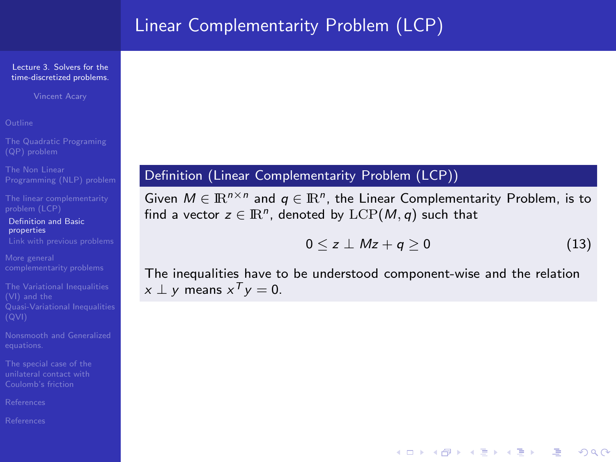# Linear Complementarity Problem (LCP)

#### Lecture 3. Solvers for the [time-discretized problems.](#page-0-0)

Vincent Acary

[The linear complementarity](#page-10-0)

[Definition and Basic](#page-10-0) properties

The Variational Inequalities

[References](#page-39-0)

<span id="page-10-0"></span>

### Definition (Linear Complementarity Problem (LCP))

Given  $M \in \mathbb{R}^{n \times n}$  and  $q \in \mathbb{R}^n$ , the Linear Complementarity Problem, is to find a vector  $z \in \mathbb{R}^n$ , denoted by  $\mathrm{LCP}(M,q)$  such that

$$
0 \leq z \perp Mz + q \geq 0 \tag{13}
$$

**YO A REAGE YOU ARE YOUR** 

<span id="page-10-1"></span>The inequalities have to be understood component-wise and the relation  $x \perp y$  means  $x^T y = 0$ .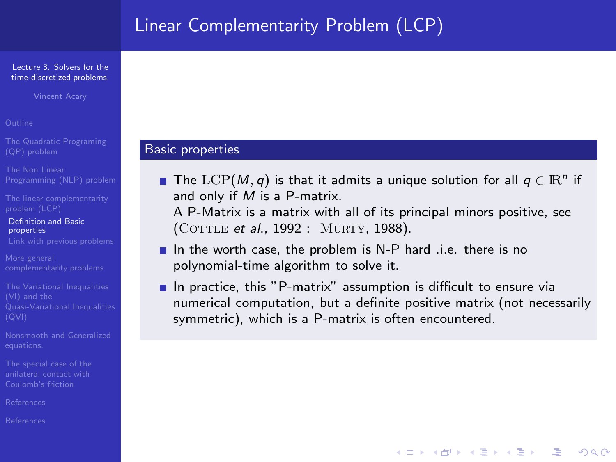# Linear Complementarity Problem (LCP)

#### Lecture 3. Solvers for the [time-discretized problems.](#page-0-0)

Vincent Acary

[The linear complementarity](#page-10-0)

[Definition and Basic](#page-10-0) properties

The Variational Inequalities

[References](#page-39-0)

### Basic properties

The  ${\rm LCP}(M,q)$  is that it admits a unique solution for all  $q\in{\rm I\!R}^n$  if and only if M is a P-matrix.

A P-Matrix is a matrix with all of its principal minors positive, see (COTTLE et al., 1992 ; MURTY, 1988).

- $\blacksquare$  In the worth case, the problem is N-P hard .i.e. there is no polynomial-time algorithm to solve it.
- $\blacksquare$  In practice, this "P-matrix" assumption is difficult to ensure via numerical computation, but a definite positive matrix (not necessarily symmetric), which is a P-matrix is often encountered.

**ADD 4 REPAIR AND A COA**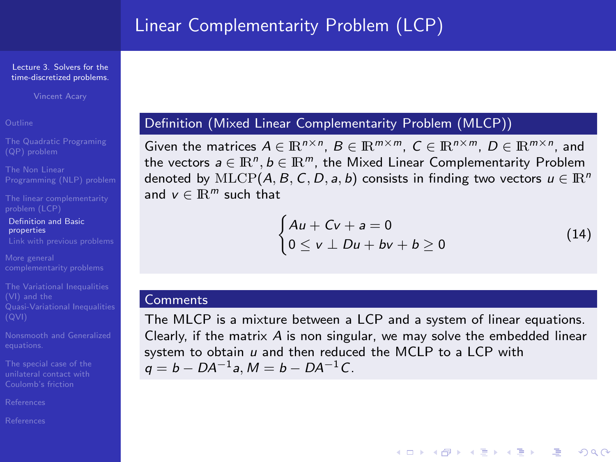Vincent Acary

[The linear complementarity](#page-10-0)

[Definition and Basic](#page-10-0) properties

The Variational Inequalities

[References](#page-39-0)

### Definition (Mixed Linear Complementarity Problem (MLCP))

Given the matrices  $A \in \mathbb{R}^{n \times n}$ ,  $B \in \mathbb{R}^{m \times m}$ ,  $C \in \mathbb{R}^{n \times m}$ ,  $D \in \mathbb{R}^{m \times n}$ , and the vectors  $a \in \mathbb{R}^n, b \in \mathbb{R}^m$ , the Mixed Linear Complementarity Problem denoted by MLCP(A, B, C, D, a, b) consists in finding two vectors  $u \in \mathbb{R}^n$ and  $v \in \mathbb{R}^m$  such that

$$
\begin{cases} Au + Cv + a = 0 \\ 0 \le v \perp Du + bv + b \ge 0 \end{cases}
$$
 (14)

**YO A REAGE YOU ARE YOUR** 

### Comments

The MLCP is a mixture between a LCP and a system of linear equations. Clearly, if the matrix A is non singular, we may solve the embedded linear system to obtain  $u$  and then reduced the MCLP to a LCP with  $q = b - DA^{-1}a$ ,  $M = b - DA^{-1}C$ .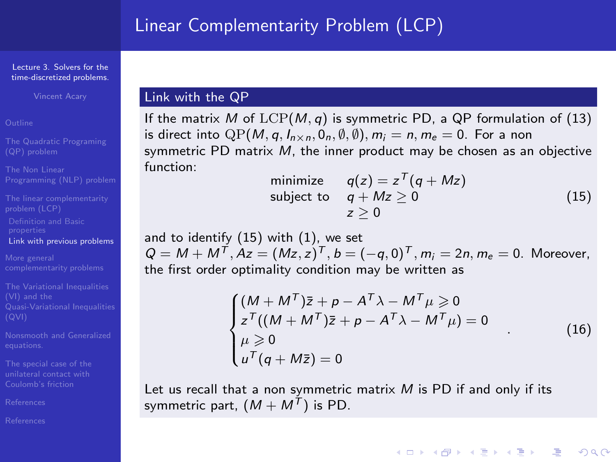# Linear Complementarity Problem (LCP)

#### Lecture 3. Solvers for the [time-discretized problems.](#page-0-0)

Vincent Acary

[The linear complementarity](#page-10-0) [Definition and Basic](#page-10-0) [Link with previous problems](#page-13-0)

The Variational Inequalities

[References](#page-39-0)

<span id="page-13-0"></span>

### Link with the QP

If the matrix M of  $LCP(M, q)$  is symmetric PD, a QP formulation of [\(13\)](#page-10-1) is direct into  $\mathbb{Q}P(M, q, I_{n \times n}, 0_n, \emptyset, \emptyset), m_i = n, m_e = 0$ . For a non symmetric PD matrix M, the inner product may be chosen as an objective function:

minimize 
$$
q(z) = z^T (q + Mz)
$$
  
subject to  $q + Mz \ge 0$  (15)  
 $z \ge 0$ 

<span id="page-13-1"></span>and to identify [\(15\)](#page-13-1) with [\(1\)](#page-2-1), we set  $Q = M + M^T$ ,  $Az = (Mz, z)^T$ ,  $b = (-q, 0)^T$ ,  $m_i = 2n$ ,  $m_e = 0$ . Moreover, the first order optimality condition may be written as

$$
\begin{cases}\n(M + M^T)\bar{z} + p - A^T\lambda - M^T\mu \ge 0 \\
z^T((M + M^T)\bar{z} + p - A^T\lambda - M^T\mu) = 0 \\
\mu \ge 0 \\
u^T(q + M\bar{z}) = 0\n\end{cases}
$$
\n(16)

**A DIA K PIA A BIA A BIA A Q A** 

Let us recall that a non symmetric matrix  $M$  is PD if and only if its symmetric part,  $(M + M<sup>T</sup>)$  is PD.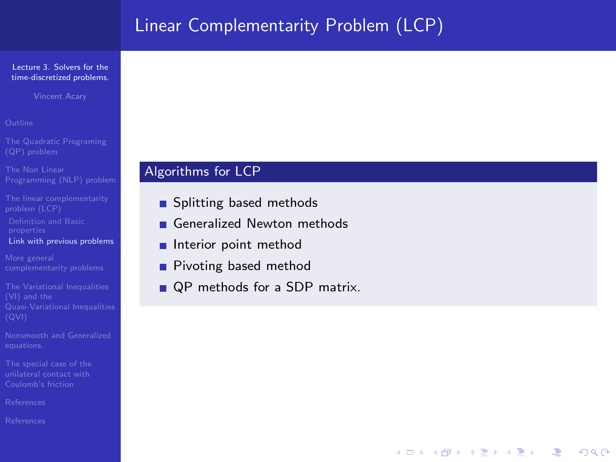# Linear Complementarity Problem (LCP)

### Lecture 3. Solvers for the [time-discretized problems.](#page-0-0)

Vincent Acary

[The linear complementarity](#page-10-0) [Definition and Basic](#page-10-0)

[Link with previous problems](#page-13-0)

The Variational Inequalities

[References](#page-39-0)

### Algorithms for LCP

- Splitting based methods
- Generalized Newton methods
- **Interior point method**
- Pivoting based method
- QP methods for a SDP matrix.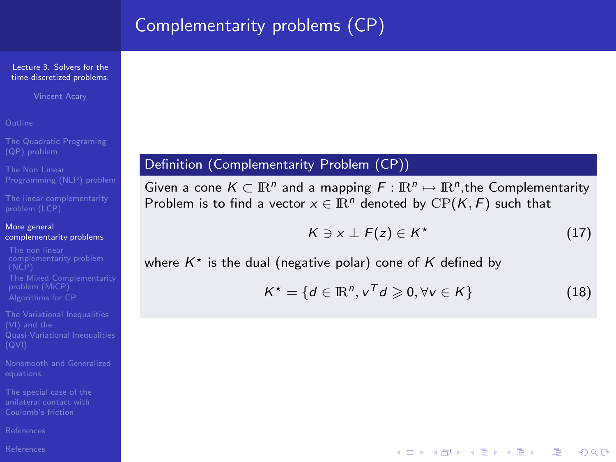#### Lecture 3. Solvers for the [time-discretized problems.](#page-0-0)

Vincent Acary

[The linear complementarity](#page-10-0)

#### More general [complementarity problems](#page-15-0)

[complementarity problem](#page-16-0)

The Variational Inequalities

[References](#page-39-0)

<span id="page-15-0"></span>

### Definition (Complementarity Problem (CP))

Given a cone  $K \subset \mathbb{R}^n$  and a mapping  $F : \mathbb{R}^n \mapsto \mathbb{R}^n$ , the Complementarity Problem is to find a vector  $x \in \mathbb{R}^n$  denoted by  $\text{CP}(K, F)$  such that

$$
K \ni x \perp F(z) \in K^\star \tag{17}
$$

**YO A REAGE YOU ARE YOUR** 

where  $K^*$  is the dual (negative polar) cone of K defined by

$$
K^* = \{d \in \mathbb{R}^n, v^T d \geqslant 0, \forall v \in K\}
$$
\n(18)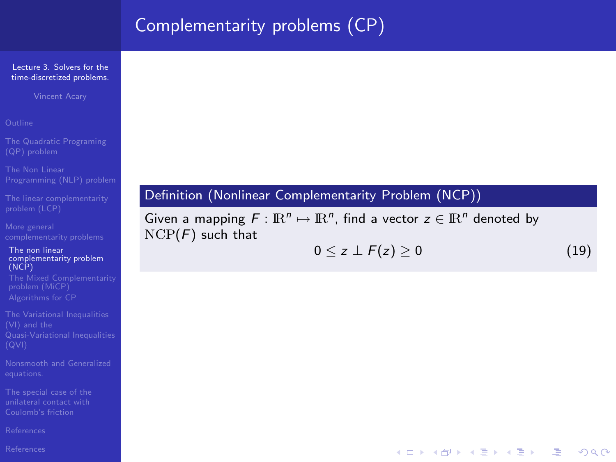### Lecture 3. Solvers for the [time-discretized problems.](#page-0-0)

Vincent Acary

[The linear complementarity](#page-10-0)

The non linear [complementarity problem](#page-16-0) (NCP)

The Variational Inequalities

[References](#page-39-0)

<span id="page-16-0"></span>

## Definition (Nonlinear Complementarity Problem (NCP))

<span id="page-16-1"></span>Given a mapping  $F: \mathbb{R}^n \mapsto \mathbb{R}^n$ , find a vector  $z \in \mathbb{R}^n$  denoted by  $NCP(F)$  such that

$$
0 \leq z \perp F(z) \geq 0 \tag{19}
$$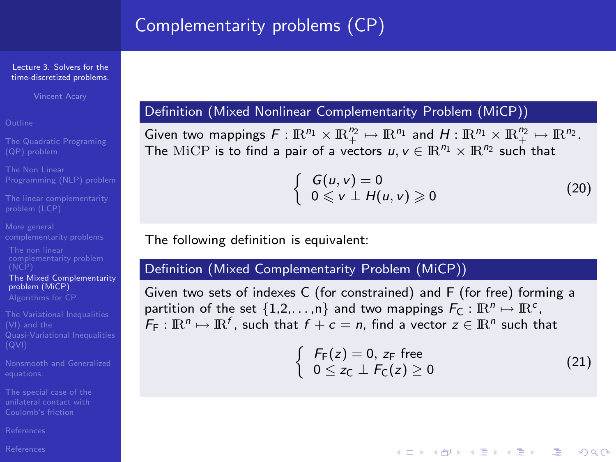#### Lecture 3. Solvers for the [time-discretized problems.](#page-0-0)

Vincent Acary

[The linear complementarity](#page-10-0)

[The Mixed Complementarity](#page-17-0) problem (MiCP)

The Variational Inequalities

[References](#page-39-0)

<span id="page-17-0"></span>

### Definition (Mixed Nonlinear Complementarity Problem (MiCP))

Given two mappings  $F: \mathbb{R}^{n_1} \times \mathbb{R}^{n_2} \mapsto \mathbb{R}^{n_1}$  and  $H: \mathbb{R}^{n_1} \times \mathbb{R}^{n_2} \mapsto \mathbb{R}^{n_2}$ . The MiCP is to find a pair of a vectors  $u, v \in \mathbb{R}^{n_1} \times \mathbb{R}^{n_2}$  such that

$$
\begin{cases}\nG(u, v) = 0 \\
0 \leq v \perp H(u, v) \geqslant 0\n\end{cases}
$$
\n(20)

The following definition is equivalent:

### Definition (Mixed Complementarity Problem (MiCP))

Given two sets of indexes C (for constrained) and F (for free) forming a partition of the set  $\{1,2,\ldots,n\}$  and two mappings  $F_C: \mathbb{R}^n \mapsto \mathbb{R}^c$ ,  $F_F: \mathbb{R}^n \mapsto \mathbb{R}^f$ , such that  $f + c = n$ , find a vector  $z \in \mathbb{R}^n$  such that

$$
\begin{cases}\nF_F(z) = 0, z_F \text{ free} \\
0 \le z_C \perp F_C(z) \ge 0\n\end{cases}
$$
\n(21)

**YO A REAGE YOU ARE YOUR**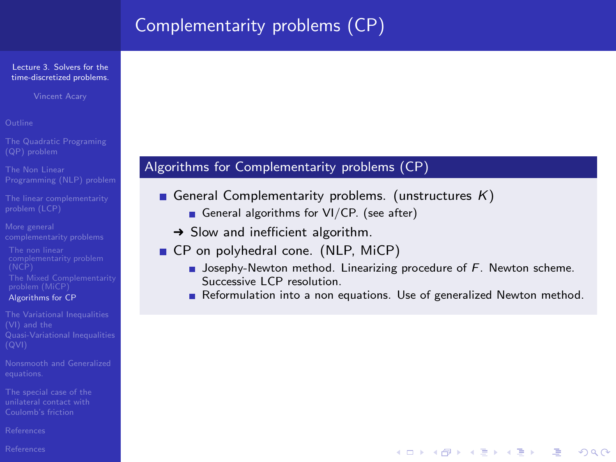#### Lecture 3. Solvers for the [time-discretized problems.](#page-0-0)

Vincent Acary

- 
- 
- [The linear complementarity](#page-10-0)
- 
- [Algorithms for CP](#page-18-0)
- The Variational Inequalities
- 
- 
- [References](#page-39-0)
- <span id="page-18-0"></span>[References](#page-39-0)

## Algorithms for Complementarity problems (CP)

- General Complementarity problems. (unstructures  $K$ )
	- General algorithms for  $VI/CP$ . (see after)
	- $\rightarrow$  Slow and inefficient algorithm.
- CP on polyhedral cone. (NLP, MiCP)
	- **Josephy-Newton method. Linearizing procedure of F. Newton scheme.** Successive LCP resolution.
	- Reformulation into a non equations. Use of generalized Newton method.

**ADD 4 REPAIR AND A COA**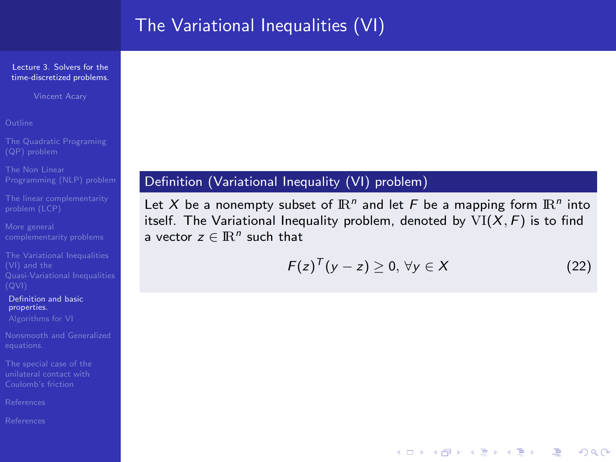### Lecture 3. Solvers for the [time-discretized problems.](#page-0-0)

Vincent Acary

[The linear complementarity](#page-10-0)

[Definition and basic](#page-19-0) properties.

[References](#page-39-0)

<span id="page-19-0"></span>

### Definition (Variational Inequality (VI) problem)

Let X be a nonempty subset of  $\mathbb{R}^n$  and let F be a mapping form  $\mathbb{R}^n$  into itself. The Variational Inequality problem, denoted by  $VI(X, F)$  is to find a vector  $z \in \mathbb{R}^n$  such that

$$
F(z)^T (y - z) \geq 0, \,\forall y \in X \tag{22}
$$

**YO A REAGE YOU ARE YOUR**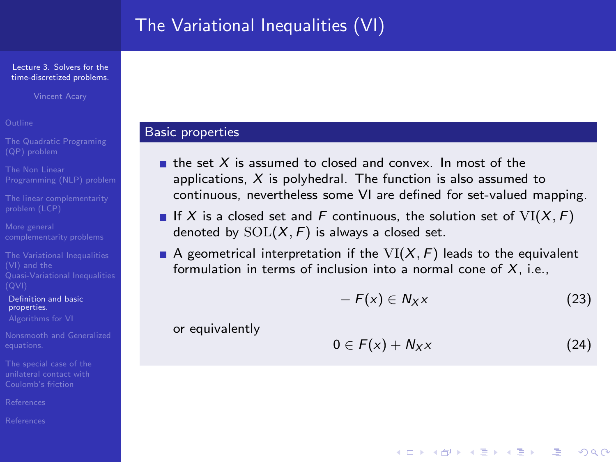#### Lecture 3. Solvers for the [time-discretized problems.](#page-0-0)

Vincent Acary

[The linear complementarity](#page-10-0)

The Variational Inequalities

[Definition and basic](#page-19-0) properties.

[References](#page-39-0)

[References](#page-39-0)

### Basic properties

- $\blacksquare$  the set X is assumed to closed and convex. In most of the applications,  $X$  is polyhedral. The function is also assumed to continuous, nevertheless some VI are defined for set-valued mapping.
- If X is a closed set and F continuous, the solution set of  $VI(X, F)$ denoted by  $SOL(X, F)$  is always a closed set.
- A geometrical interpretation if the  $VI(X, F)$  leads to the equivalent formulation in terms of inclusion into a normal cone of  $X$ , i.e.,

$$
-F(x) \in N_X \times (23)
$$

or equivalently

$$
0\in F(x)+N_Xx\qquad \qquad (24)
$$

**ADD 4 REPAIR AND A COA**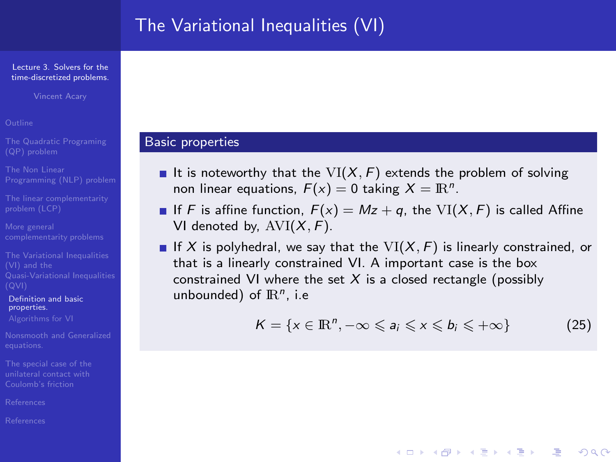#### Lecture 3. Solvers for the [time-discretized problems.](#page-0-0)

[The linear complementarity](#page-10-0)

The Variational Inequalities

[Definition and basic](#page-19-0) properties.

[References](#page-39-0)

### Basic properties

- It is noteworthy that the  $VI(X, F)$  extends the problem of solving non linear equations,  $F(x) = 0$  taking  $X = \mathbb{R}^n$ .
- If F is affine function,  $F(x) = Mz + q$ , the VI(X, F) is called Affine VI denoted by,  $AVI(X, F)$ .
- If X is polyhedral, we say that the  $VI(X, F)$  is linearly constrained, or that is a linearly constrained VI. A important case is the box constrained VI where the set  $X$  is a closed rectangle (possibly unbounded) of  $\mathbb{R}^n$ , i.e

$$
K = \{x \in \mathbb{R}^n, -\infty \leqslant a_i \leqslant x \leqslant b_i \leqslant +\infty\}
$$
 (25)

**ADD 4 REPAIR AND A COA**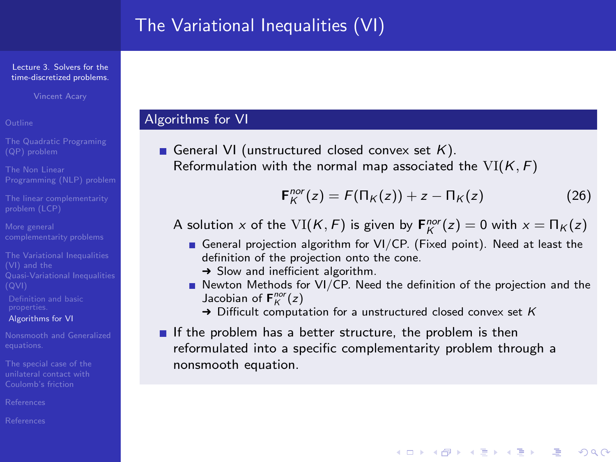#### Lecture 3. Solvers for the [time-discretized problems.](#page-0-0)

Vincent Acary

[The linear complementarity](#page-10-0)

The Variational Inequalities

[Definition and basic](#page-19-0)

[Algorithms for VI](#page-22-0)

[References](#page-39-0)

<span id="page-22-0"></span>

### Algorithms for VI

General VI (unstructured closed convex set  $K$ ). Reformulation with the normal map associated the  $VI(K, F)$ 

$$
\mathbf{F}_K^{nor}(z) = F(\Pi_K(z)) + z - \Pi_K(z) \tag{26}
$$

**ADD 4 REPAIR AND A COA** 

A solution x of the  $VI(K, F)$  is given by  $\mathbf{F}_K^{nor}(z) = 0$  with  $x = \Pi_K(z)$ 

- General projection algorithm for VI/CP. (Fixed point). Need at least the definition of the projection onto the cone.
	- $\rightarrow$  Slow and inefficient algorithm.
- $\blacksquare$  Newton Methods for VI/CP. Need the definition of the projection and the Jacobian of  $F_K^{nor}(z)$ 
	- $\rightarrow$  Difficult computation for a unstructured closed convex set K
- If the problem has a better structure, the problem is then reformulated into a specific complementarity problem through a nonsmooth equation.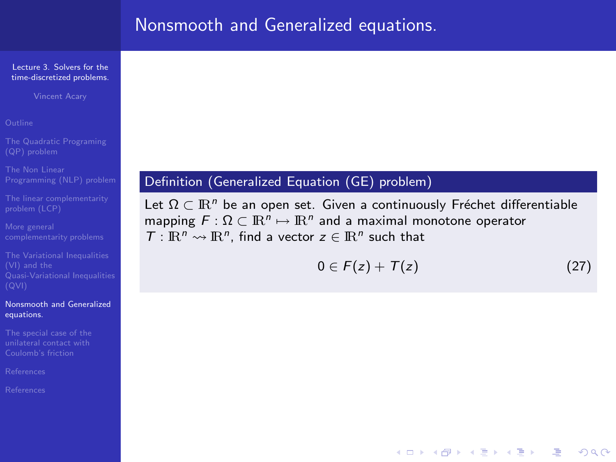# Nonsmooth and Generalized equations.

#### Lecture 3. Solvers for the [time-discretized problems.](#page-0-0)

Vincent Acary

[The linear complementarity](#page-10-0)

#### [Nonsmooth and Generalized](#page-23-0) equations.

<span id="page-23-0"></span>

## Definition (Generalized Equation (GE) problem)

Let  $\Omega \subset \mathbb{R}^n$  be an open set. Given a continuously Fréchet differentiable mapping  $F: \Omega \subset \mathbb{R}^n \mapsto \mathbb{R}^n$  and a maximal monotone operator  $T: \mathbb{R}^n \rightarrow \mathbb{R}^n$ , find a vector  $z \in \mathbb{R}^n$  such that

$$
0\in F(z)+T(z) \tag{27}
$$

**YO A REAR OF YOUR**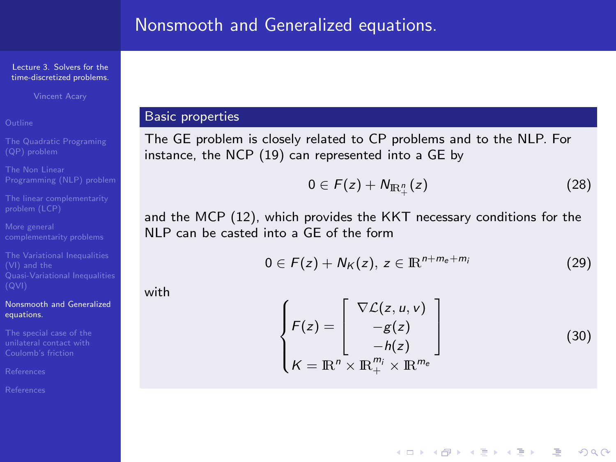Vincent Acary

[Nonsmooth and Generalized](#page-23-0) equations.

### Basic properties

The GE problem is closely related to CP problems and to the NLP. For instance, the NCP [\(19\)](#page-16-1) can represented into a GE by

$$
0\in F(z)+N_{\mathbb{R}_+^n}(z)\qquad \qquad (28)
$$

and the MCP [\(12\)](#page-9-0), which provides the KKT necessary conditions for the NLP can be casted into a GE of the form

$$
0\in F(z)+N_K(z),\ z\in\mathbb{R}^{n+m_e+m_i}\tag{29}
$$

with

$$
\begin{cases}\nF(z) = \begin{bmatrix}\n\nabla \mathcal{L}(z, u, v) \\
-g(z) \\
-h(z)\n\end{bmatrix} \\
K = \mathbb{R}^n \times \mathbb{R}_+^{m_i} \times \mathbb{R}^{m_e}\n\end{cases}
$$
\n(30)

**YO A REAGE YOU ARE YOU ARE YOU ARE STOLEN.**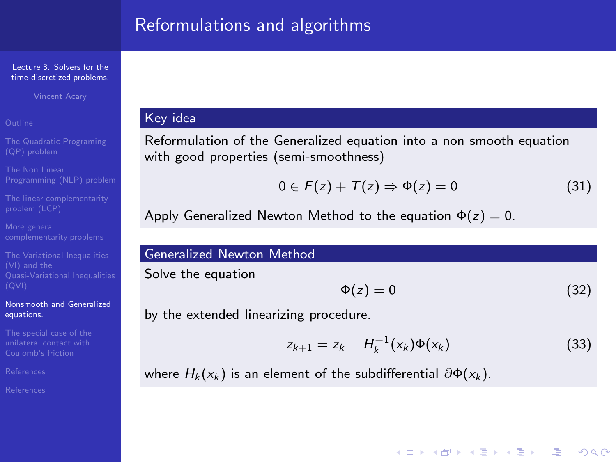# Reformulations and algorithms

#### Lecture 3. Solvers for the [time-discretized problems.](#page-0-0)

Vincent Acary

[The linear complementarity](#page-10-0)

### [Nonsmooth and Generalized](#page-23-0) equations.

[References](#page-39-0)

# Key idea

Reformulation of the Generalized equation into a non smooth equation with good properties (semi-smoothness)

$$
0 \in F(z) + T(z) \Rightarrow \Phi(z) = 0 \tag{31}
$$

Apply Generalized Newton Method to the equation  $\Phi(z) = 0$ .

### Generalized Newton Method

Solve the equation

$$
\Phi(z) = 0 \tag{32}
$$

**ADD 4 REPAIR AND A COA** 

by the extended linearizing procedure.

$$
z_{k+1} = z_k - H_k^{-1}(x_k) \Phi(x_k)
$$
 (33)

where  $H_k(x_k)$  is an element of the subdifferential  $\partial \Phi(x_k)$ .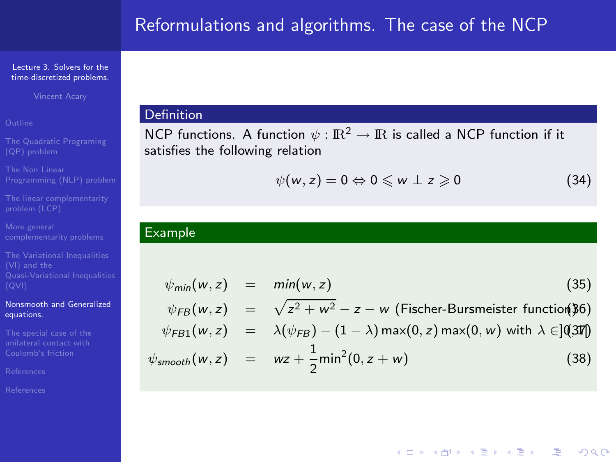Vincent Acary

[The linear complementarity](#page-10-0)

### [Nonsmooth and Generalized](#page-23-0) equations.

### Definition

NCP functions. A function  $\psi : \mathbb{R}^2 \to \mathbb{R}$  is called a NCP function if it satisfies the following relation

$$
\psi(w,z)=0\Leftrightarrow 0\leqslant w\perp z\geqslant 0\qquad \qquad (34)
$$

**YO A REAR OF YOUR** 

## Example

$$
\psi_{min}(w, z) = min(w, z)
$$
\n
$$
\psi_{FB}(w, z) = \sqrt{z^2 + w^2} - z - w \text{ (Fischer-Bursmeister function(36))}
$$
\n
$$
\psi_{FB1}(w, z) = \lambda(\psi_{FB}) - (1 - \lambda) \max(0, z) \max(0, w) \text{ with } \lambda \in ]0,300]
$$
\n
$$
\psi_{smooth}(w, z) = wz + \frac{1}{2} \min^2(0, z + w)
$$
\n(38)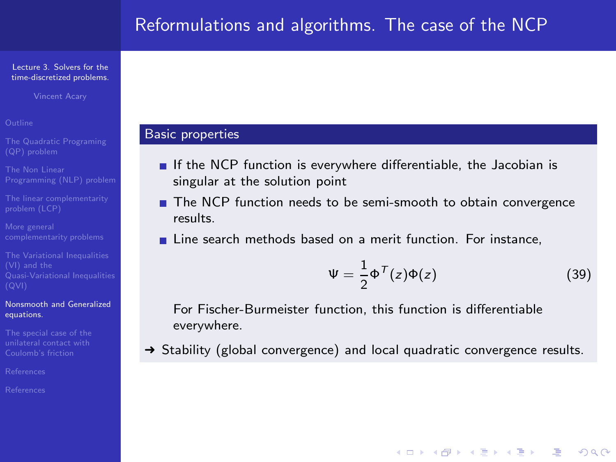Vincent Acary

- 
- 
- [The linear complementarity](#page-10-0)
- 
- 

### [Nonsmooth and Generalized](#page-23-0) equations.

[References](#page-39-0)

### Basic properties

- If the NCP function is everywhere differentiable, the Jacobian is singular at the solution point
- The NCP function needs to be semi-smooth to obtain convergence results.
- Line search methods based on a merit function. For instance,

$$
\Psi = \frac{1}{2} \Phi^{\mathcal{T}}(z) \Phi(z)
$$
 (39)

**YO A REAGE YOU ARE YOU ARE YOU ARE STOLEN.** 

For Fischer-Burmeister function, this function is differentiable everywhere.

→ Stability (global convergence) and local quadratic convergence results.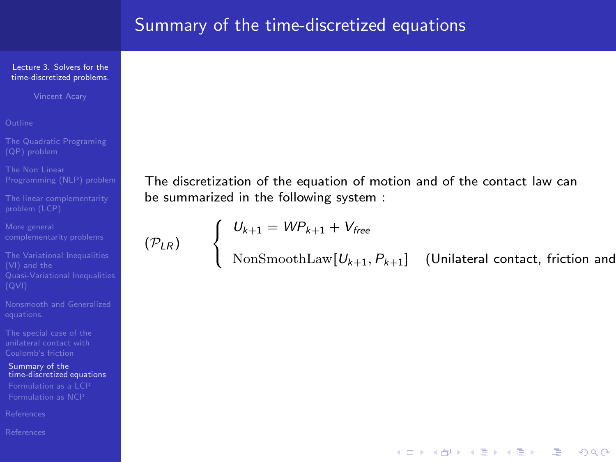Vincent Acary

```
The linear complementarity
```
Summary of the [time-discretized equations](#page-28-0)

<span id="page-28-0"></span>

The discretization of the equation of motion and of the contact law can be summarized in the following system :

$$
(\mathcal{P}_{LR}) \qquad \begin{cases} \begin{array}{c} U_{k+1} = \mathit{WP}_{k+1} + V_{\text{free}} \\ \text{NonSmoothLaw}[U_{k+1}] \end{array} \end{cases}
$$

 $\text{NonSmoothLaw}[U_{k+1}, P_{k+1}]$  (Unilateral contact, friction and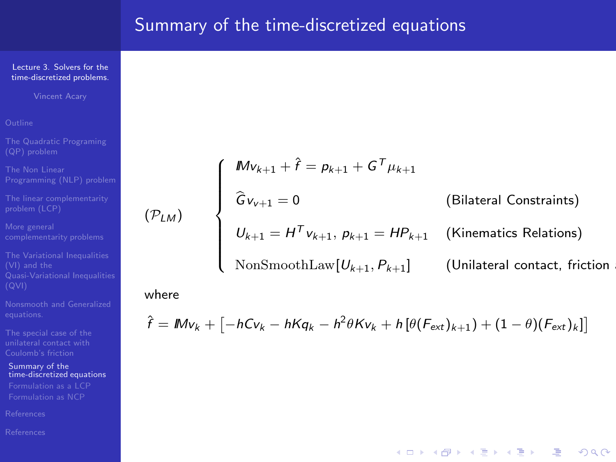Vincent Acary

[The linear complementarity](#page-10-0)

Summary of the [time-discretized equations](#page-28-0)

$$
\begin{cases}\nMv_{k+1} + \hat{r} = p_{k+1} + G^T \mu_{k+1} \\
\hat{G}v_{k+1} = 0 \n\end{cases}
$$
\n(Bilateral Constraints)\n  
\n
$$
U_{k+1} = H^T v_{k+1}, p_{k+1} = H P_{k+1}
$$
\n(Kinematics Relations)\n  
\nNonSmoothLaw[ $U_{k+1}, P_{k+1}$ ] (Unilateral contact, friction

**YO A YOU REAKEN LEARY YOU ARE** 

### where

 $(\mathcal{P}_{LM})$ 

$$
\hat{f} = Mv_k + \left[ -hCv_k - hKq_k - h^2\theta Kv_k + h\left[\theta(F_{ext})_{k+1}\right) + (1-\theta)(F_{ext})_k \right]\right]
$$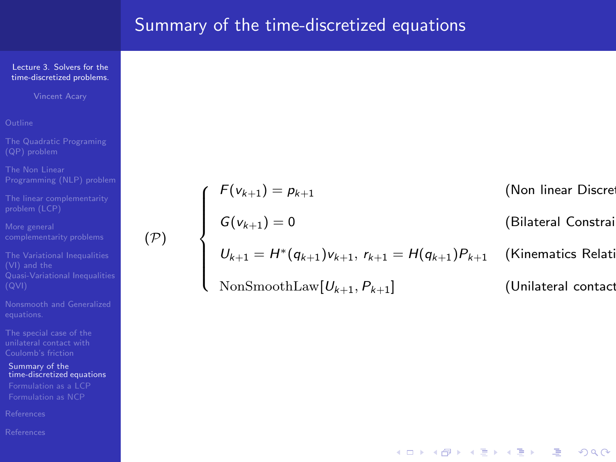Vincent Acary

[The linear complementarity](#page-10-0)

(P)

The Variational Inequalities

Summary of the [time-discretized equations](#page-28-0)

 $\int$  $\overline{\phantom{a}}$  $F(v_{k+1}) = p_{k+1}$  (Non linear Discretized  $G(v_{k+1}) = 0$  (Bilateral Constrai  $U_{k+1} = H^*(q_{k+1})v_{k+1}, r_{k+1} = H(q_{k+1})P_{k+1}$  (Kinematics Relations)  $\mathrm{NonSmoothLaw} [U_{k+1}, P_{k+1}]$  (Unilateral contact

**YO A REAR OF YOUR**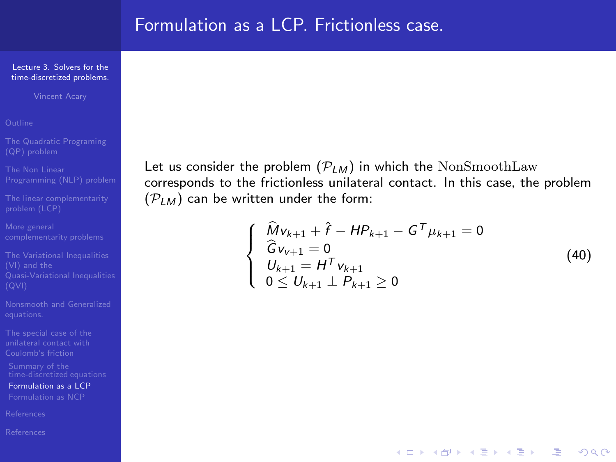Vincent Acary

[The linear complementarity](#page-10-0)

[Formulation as a LCP](#page-31-0)

<span id="page-31-0"></span>

Let us consider the problem  $(\mathcal{P}_{LM})$  in which the NonSmoothLaw corresponds to the frictionless unilateral contact. In this case, the problem  $(\mathcal{P}_{LM})$  can be written under the form:

$$
\begin{cases}\n\widehat{M}v_{k+1} + \widehat{r} - HP_{k+1} - G^T \mu_{k+1} = 0 \\
\widehat{G}v_{k+1} = 0 \\
U_{k+1} = H^T v_{k+1} \\
0 \le U_{k+1} \perp P_{k+1} \ge 0\n\end{cases}
$$
\n(40)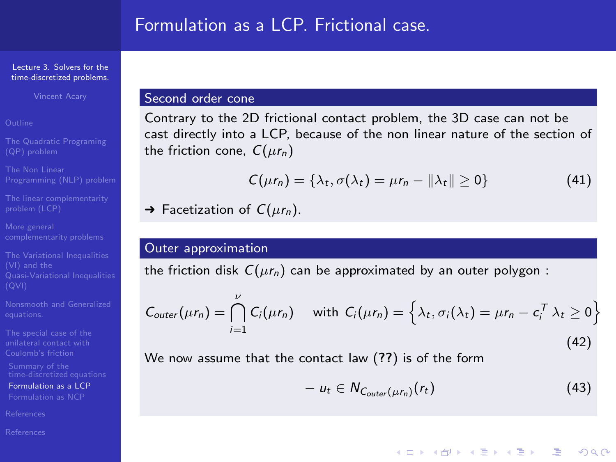# Formulation as a LCP. Frictional case.

#### Lecture 3. Solvers for the [time-discretized problems.](#page-0-0)

Vincent Acary

[The linear complementarity](#page-10-0)

The Variational Inequalities

[Formulation as a LCP](#page-31-0)

[References](#page-39-0)

### Second order cone

Contrary to the 2D frictional contact problem, the 3D case can not be cast directly into a LCP, because of the non linear nature of the section of the friction cone,  $C(\mu r_n)$ 

$$
C(\mu r_n) = \{\lambda_t, \sigma(\lambda_t) = \mu r_n - ||\lambda_t|| \ge 0\}
$$
 (41)

 $\rightarrow$  Facetization of  $C(\mu r_n)$ .

### Outer approximation

the friction disk  $C(\mu r_n)$  can be approximated by an outer polygon :

$$
C_{outer}(\mu r_n) = \bigcap_{i=1}^{\nu} C_i(\mu r_n) \quad \text{ with } C_i(\mu r_n) = \left\{ \lambda_t, \sigma_i(\lambda_t) = \mu r_n - c_i^T \lambda_t \ge 0 \right\}
$$
\n(42)

We now assume that the contact law (??) is of the form

$$
- u_t \in N_{C_{outer}(\mu r_n)}(r_t) \tag{43}
$$

**YO A REAGE YOU ARE YOU ARE YOU ARE STOLEN.**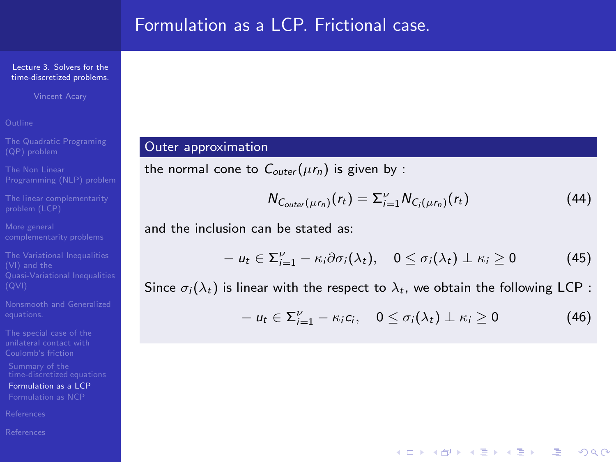# Formulation as a LCP. Frictional case.

#### Lecture 3. Solvers for the [time-discretized problems.](#page-0-0)

Vincent Acary

[The linear complementarity](#page-10-0)

[Formulation as a LCP](#page-31-0)

## Outer approximation

the normal cone to  $C_{outer}(\mu r_n)$  is given by :

$$
N_{C_{outer}(\mu r_n)}(r_t) = \Sigma_{i=1}^{\nu} N_{C_i(\mu r_n)}(r_t)
$$
\n(44)

and the inclusion can be stated as:

$$
- u_t \in \Sigma_{i=1}^{\nu} - \kappa_i \partial \sigma_i(\lambda_t), \quad 0 \leq \sigma_i(\lambda_t) \perp \kappa_i \geq 0 \tag{45}
$$

Since  $\sigma_i(\lambda_t)$  is linear with the respect to  $\lambda_t$ , we obtain the following LCP :

$$
- u_t \in \Sigma_{i=1}^{\nu} - \kappa_i c_i, \quad 0 \leq \sigma_i(\lambda_t) \perp \kappa_i \geq 0 \tag{46}
$$

**YO A REAGE YOU ARE YOU ARE YOU ARE STOLEN.**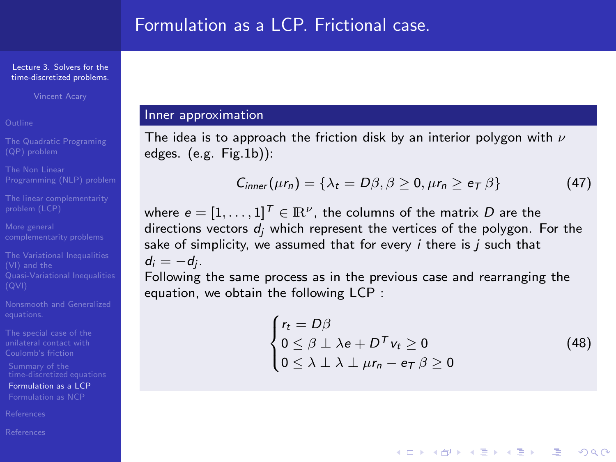Vincent Acary

[The linear complementarity](#page-10-0)

The Variational Inequalities

[Formulation as a LCP](#page-31-0)

[References](#page-39-0)

[References](#page-39-0)

### Inner approximation

The idea is to approach the friction disk by an interior polygon with  $\nu$ edges. (e.g. Fig[.1b](#page-35-0))):

$$
C_{inner}(\mu r_n) = \{\lambda_t = D\beta, \beta \ge 0, \mu r_n \ge e_\mathcal{T} \beta\}
$$
 (47)

where  $e=[1,\ldots,1]^{\textstyle{\cal{T}}}\in{\rm I\!R}^{\nu}$ , the columns of the matrix  $D$  are the directions vectors  $d_i$  which represent the vertices of the polygon. For the sake of simplicity, we assumed that for every  $i$  there is  $j$  such that  $d_i = -d_j$ .

Following the same process as in the previous case and rearranging the equation, we obtain the following LCP :

$$
\begin{cases}\nr_t = D\beta \\
0 \leq \beta \perp \lambda e + D^T v_t \geq 0 \\
0 \leq \lambda \perp \lambda \perp \mu r_n - e_T \beta \geq 0\n\end{cases}
$$
\n(48)

**ADD 4 REPAIR AND A COA**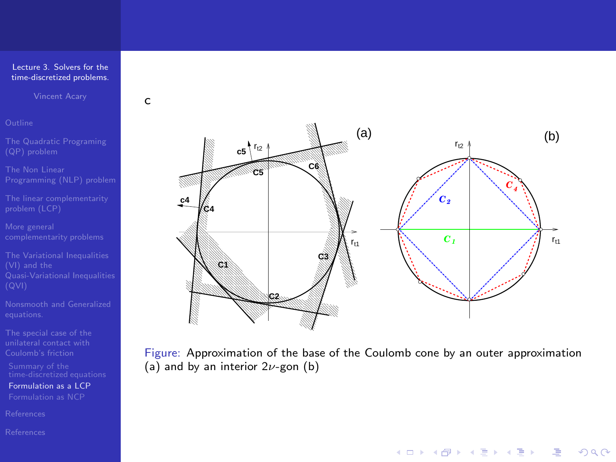Vincent Acary

c

[The linear complementarity](#page-10-0)

[Formulation as a LCP](#page-31-0)



<span id="page-35-0"></span>Figure: Approximation of the base of the Coulomb cone by an outer approximation (a) and by an interior  $2\nu$ -gon (b)

K ロ ▶ K @ ▶ K 할 ▶ K 할 ▶ 그럴 → 이익(여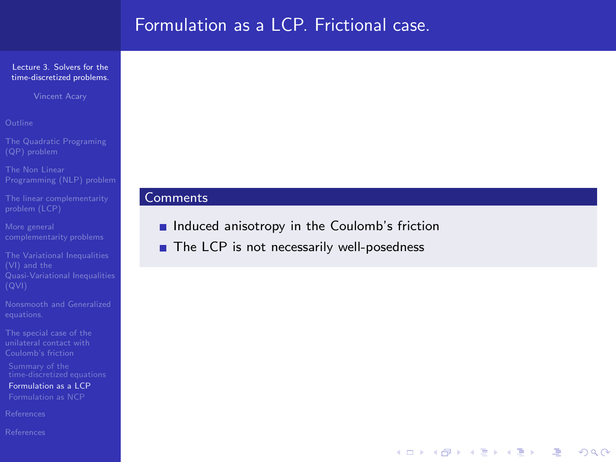# Formulation as a LCP. Frictional case.

### Lecture 3. Solvers for the [time-discretized problems.](#page-0-0)

Vincent Acary

[The linear complementarity](#page-10-0)

[Formulation as a LCP](#page-31-0)

### **Comments**

Induced anisotropy in the Coulomb's friction

■ The LCP is not necessarily well-posedness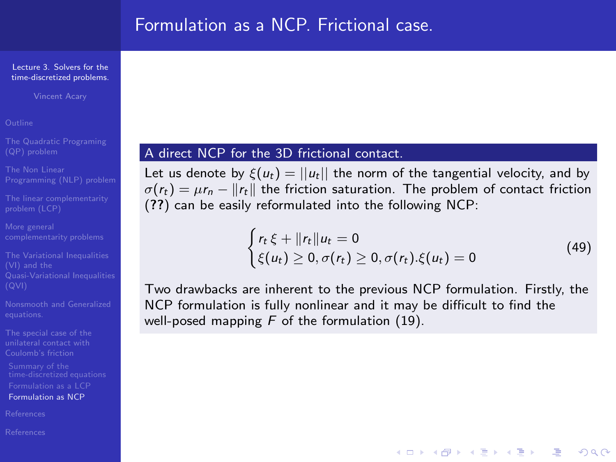# Formulation as a NCP. Frictional case.

#### Lecture 3. Solvers for the [time-discretized problems.](#page-0-0)

Vincent Acary

[The linear complementarity](#page-10-0)

The Variational Inequalities

[Formulation as NCP](#page-37-0)

[References](#page-39-0)

<span id="page-37-0"></span>

## A direct NCP for the 3D frictional contact.

Let us denote by  $\xi(u_t) = ||u_t||$  the norm of the tangential velocity, and by  $\sigma(r_t) = \mu r_n - ||r_t||$  the friction saturation. The problem of contact friction (??) can be easily reformulated into the following NCP:

$$
\begin{cases} r_t \xi + ||r_t||u_t = 0 \\ \xi(u_t) \geq 0, \sigma(r_t) \geq 0, \sigma(r_t). \xi(u_t) = 0 \end{cases}
$$
\n(49)

**YO A REAGE YOU ARE YOU ARE YOU ARE STOLEN.** 

Two drawbacks are inherent to the previous NCP formulation. Firstly, the NCP formulation is fully nonlinear and it may be difficult to find the well-posed mapping  $F$  of the formulation [\(19\)](#page-16-1).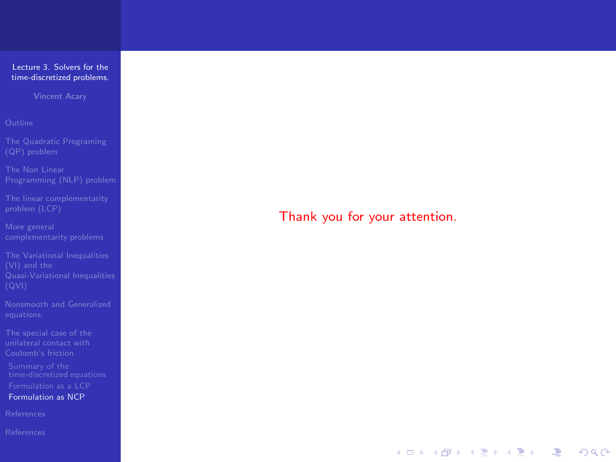Vincent Acary

[The linear complementarity](#page-10-0)

[Formulation as NCP](#page-37-0)

### Thank you for your attention.

**YO A YOU REAKEN LEARY YOU ARE**